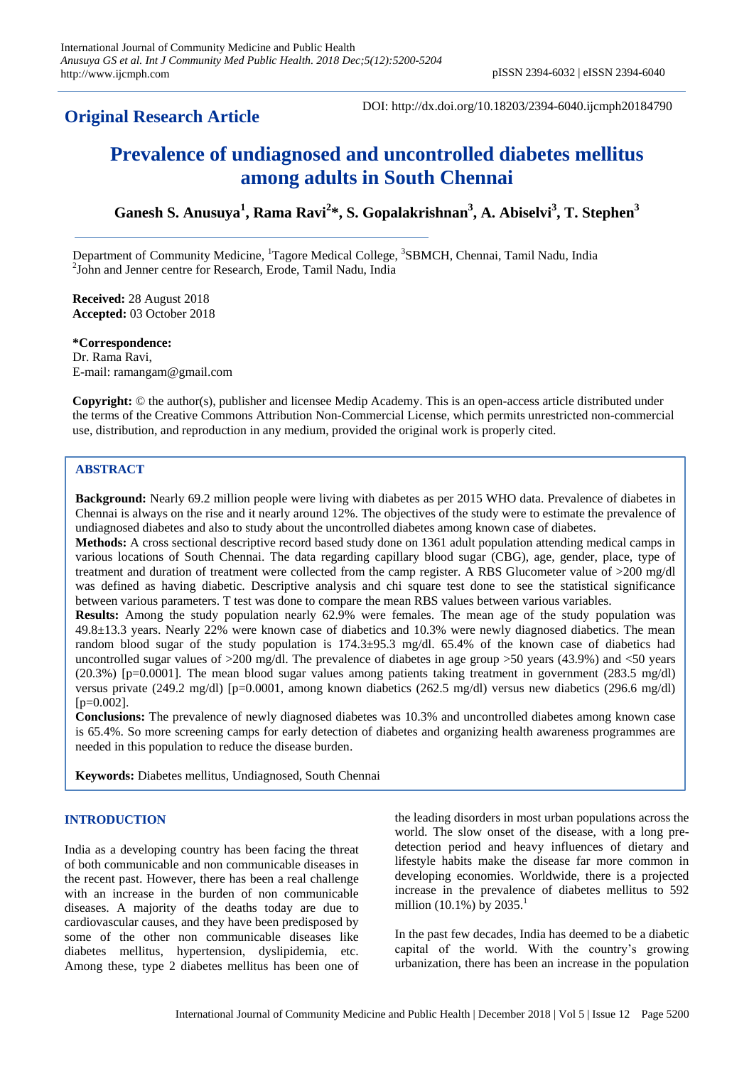# **Original Research Article**

DOI: http://dx.doi.org/10.18203/2394-6040.ijcmph20184790

# **Prevalence of undiagnosed and uncontrolled diabetes mellitus among adults in South Chennai**

**Ganesh S. Anusuya<sup>1</sup> , Rama Ravi<sup>2</sup> \*, S. Gopalakrishnan<sup>3</sup> , A. Abiselvi<sup>3</sup> , T. Stephen<sup>3</sup>**

Department of Community Medicine, <sup>1</sup>Tagore Medical College, <sup>3</sup>SBMCH, Chennai, Tamil Nadu, India <sup>2</sup>John and Jenner centre for Research, Erode, Tamil Nadu, India

**Received:** 28 August 2018 **Accepted:** 03 October 2018

**\*Correspondence:** Dr. Rama Ravi, E-mail: ramangam@gmail.com

**Copyright:** © the author(s), publisher and licensee Medip Academy. This is an open-access article distributed under the terms of the Creative Commons Attribution Non-Commercial License, which permits unrestricted non-commercial use, distribution, and reproduction in any medium, provided the original work is properly cited.

# **ABSTRACT**

**Background:** Nearly 69.2 million people were living with diabetes as per 2015 WHO data. Prevalence of diabetes in Chennai is always on the rise and it nearly around 12%. The objectives of the study were to estimate the prevalence of undiagnosed diabetes and also to study about the uncontrolled diabetes among known case of diabetes.

**Methods:** A cross sectional descriptive record based study done on 1361 adult population attending medical camps in various locations of South Chennai. The data regarding capillary blood sugar (CBG), age, gender, place, type of treatment and duration of treatment were collected from the camp register. A RBS Glucometer value of >200 mg/dl was defined as having diabetic. Descriptive analysis and chi square test done to see the statistical significance between various parameters. T test was done to compare the mean RBS values between various variables.

**Results:** Among the study population nearly 62.9% were females. The mean age of the study population was 49.8±13.3 years. Nearly 22% were known case of diabetics and 10.3% were newly diagnosed diabetics. The mean random blood sugar of the study population is 174.3±95.3 mg/dl. 65.4% of the known case of diabetics had uncontrolled sugar values of >200 mg/dl. The prevalence of diabetes in age group >50 years (43.9%) and <50 years (20.3%) [p=0.0001]. The mean blood sugar values among patients taking treatment in government (283.5 mg/dl) versus private (249.2 mg/dl) [p=0.0001, among known diabetics (262.5 mg/dl) versus new diabetics (296.6 mg/dl)  $[p=0.002]$ .

**Conclusions:** The prevalence of newly diagnosed diabetes was 10.3% and uncontrolled diabetes among known case is 65.4%. So more screening camps for early detection of diabetes and organizing health awareness programmes are needed in this population to reduce the disease burden.

**Keywords:** Diabetes mellitus, Undiagnosed, South Chennai

## **INTRODUCTION**

India as a developing country has been facing the threat of both communicable and non communicable diseases in the recent past. However, there has been a real challenge with an increase in the burden of non communicable diseases. A majority of the deaths today are due to cardiovascular causes, and they have been predisposed by some of the other non communicable diseases like diabetes mellitus, hypertension, dyslipidemia, etc. Among these, type 2 diabetes mellitus has been one of the leading disorders in most urban populations across the world. The slow onset of the disease, with a long predetection period and heavy influences of dietary and lifestyle habits make the disease far more common in developing economies. Worldwide, there is a projected increase in the prevalence of diabetes mellitus to 592 million (10.1%) by  $2035.<sup>1</sup>$ 

In the past few decades, India has deemed to be a diabetic capital of the world. With the country's growing urbanization, there has been an increase in the population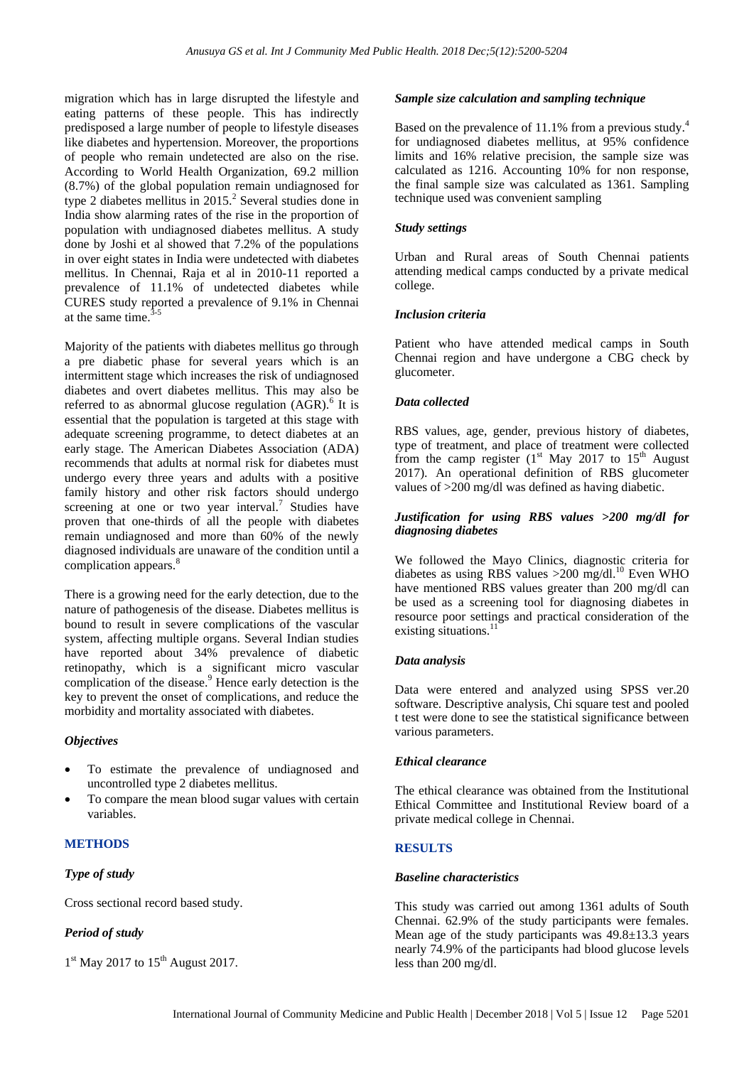migration which has in large disrupted the lifestyle and eating patterns of these people. This has indirectly predisposed a large number of people to lifestyle diseases like diabetes and hypertension. Moreover, the proportions of people who remain undetected are also on the rise. According to World Health Organization, 69.2 million (8.7%) of the global population remain undiagnosed for type 2 diabetes mellitus in  $2015<sup>2</sup>$  Several studies done in India show alarming rates of the rise in the proportion of population with undiagnosed diabetes mellitus. A study done by Joshi et al showed that 7.2% of the populations in over eight states in India were undetected with diabetes mellitus. In Chennai, Raja et al in 2010-11 reported a prevalence of 11.1% of undetected diabetes while CURES study reported a prevalence of 9.1% in Chennai at the same time.  $3-5$ 

Majority of the patients with diabetes mellitus go through a pre diabetic phase for several years which is an intermittent stage which increases the risk of undiagnosed diabetes and overt diabetes mellitus. This may also be referred to as abnormal glucose regulation  $(AGR)$ .<sup>6</sup> It is essential that the population is targeted at this stage with adequate screening programme, to detect diabetes at an early stage. The American Diabetes Association (ADA) recommends that adults at normal risk for diabetes must undergo every three years and adults with a positive family history and other risk factors should undergo screening at one or two year interval.<sup>7</sup> Studies have proven that one-thirds of all the people with diabetes remain undiagnosed and more than 60% of the newly diagnosed individuals are unaware of the condition until a complication appears.<sup>8</sup>

There is a growing need for the early detection, due to the nature of pathogenesis of the disease. Diabetes mellitus is bound to result in severe complications of the vascular system, affecting multiple organs. Several Indian studies have reported about 34% prevalence of diabetic retinopathy, which is a significant micro vascular complication of the disease. <sup>9</sup> Hence early detection is the key to prevent the onset of complications, and reduce the morbidity and mortality associated with diabetes.

## *Objectives*

- To estimate the prevalence of undiagnosed and uncontrolled type 2 diabetes mellitus.
- To compare the mean blood sugar values with certain variables.

# **METHODS**

## *Type of study*

Cross sectional record based study.

## *Period of study*

1<sup>st</sup> May 2017 to 15<sup>th</sup> August 2017.

#### *Sample size calculation and sampling technique*

Based on the prevalence of 11.1% from a previous study.<sup>4</sup> for undiagnosed diabetes mellitus, at 95% confidence limits and 16% relative precision, the sample size was calculated as 1216. Accounting 10% for non response, the final sample size was calculated as 1361. Sampling technique used was convenient sampling

#### *Study settings*

Urban and Rural areas of South Chennai patients attending medical camps conducted by a private medical college.

## *Inclusion criteria*

Patient who have attended medical camps in South Chennai region and have undergone a CBG check by glucometer.

## *Data collected*

RBS values, age, gender, previous history of diabetes, type of treatment, and place of treatment were collected from the camp register  $(1<sup>st</sup>$  May 2017 to 15<sup>th</sup> August 2017). An operational definition of RBS glucometer values of >200 mg/dl was defined as having diabetic.

#### *Justification for using RBS values >200 mg/dl for diagnosing diabetes*

We followed the Mayo Clinics, diagnostic criteria for diabetes as using RBS values >200 mg/dl. <sup>10</sup> Even WHO have mentioned RBS values greater than 200 mg/dl can be used as a screening tool for diagnosing diabetes in resource poor settings and practical consideration of the existing situations.<sup>11</sup>

## *Data analysis*

Data were entered and analyzed using SPSS ver.20 software. Descriptive analysis, Chi square test and pooled t test were done to see the statistical significance between various parameters.

## *Ethical clearance*

The ethical clearance was obtained from the Institutional Ethical Committee and Institutional Review board of a private medical college in Chennai.

## **RESULTS**

#### *Baseline characteristics*

This study was carried out among 1361 adults of South Chennai. 62.9% of the study participants were females. Mean age of the study participants was 49.8±13.3 years nearly 74.9% of the participants had blood glucose levels less than 200 mg/dl.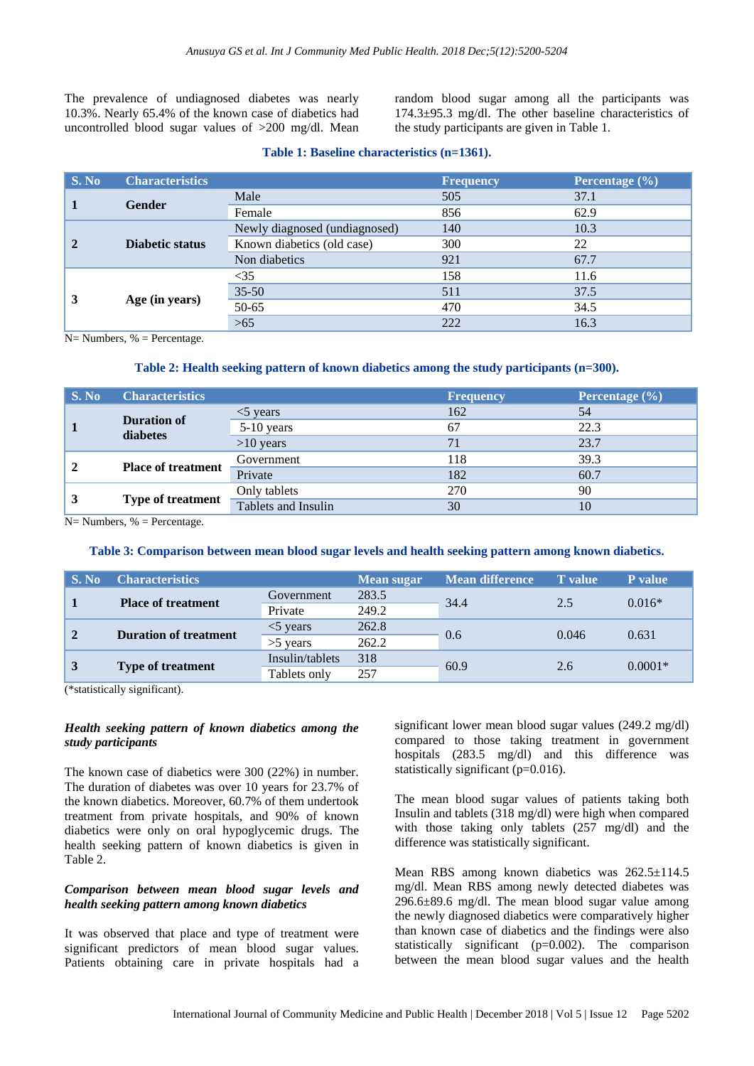The prevalence of undiagnosed diabetes was nearly 10.3%. Nearly 65.4% of the known case of diabetics had uncontrolled blood sugar values of >200 mg/dl. Mean random blood sugar among all the participants was 174.3±95.3 mg/dl. The other baseline characteristics of the study participants are given in Table 1.

#### **Table 1: Baseline characteristics (n=1361).**

| S. No | <b>Characteristics</b> |                               | <b>Frequency</b> | Percentage (%) |
|-------|------------------------|-------------------------------|------------------|----------------|
|       | <b>Gender</b>          | Male                          | 505              | 37.1           |
|       |                        | Female                        | 856              | 62.9           |
|       | <b>Diabetic status</b> | Newly diagnosed (undiagnosed) | 140              | 10.3           |
|       |                        | Known diabetics (old case)    | 300              | 22             |
|       |                        | Non diabetics                 | 921              | 67.7           |
| 3     | Age (in years)         | $<$ 35                        | 158              | 11.6           |
|       |                        | $35 - 50$                     | 511              | 37.5           |
|       |                        | 50-65                         | 470              | 34.5           |
|       |                        | >65                           | 222              | 16.3           |

 $N=$  Numbers, % = Percentage.

#### **Table 2: Health seeking pattern of known diabetics among the study participants (n=300).**

| $\parallel$ S. No | <b>Characteristics</b>         |                     | <b>Frequency</b> | Percentage $(\% )$ |
|-------------------|--------------------------------|---------------------|------------------|--------------------|
|                   | <b>Duration of</b><br>diabetes | $<$ 5 years         | 162              | 54                 |
|                   |                                | 5-10 years          | 67               | 22.3               |
|                   |                                | $>10$ years         |                  | 23.7               |
|                   | <b>Place of treatment</b>      | Government          | 118              | 39.3               |
|                   |                                | Private             | 182              | 60.7               |
|                   | <b>Type of treatment</b>       | Only tablets        | 270              | 90                 |
|                   |                                | Tablets and Insulin | 30               | 10                 |

 $N=$  Numbers,  $%$  = Percentage.

#### **Table 3: Comparison between mean blood sugar levels and health seeking pattern among known diabetics.**

| $\mid$ S. No | <b>Characteristics</b>       |                 | Mean sugar | <b>Mean difference</b> | <b>T</b> value | P value   |
|--------------|------------------------------|-----------------|------------|------------------------|----------------|-----------|
|              | <b>Place of treatment</b>    | Government      | 283.5      | 34.4                   | 2.5            | $0.016*$  |
|              |                              | Private         | 249.2      |                        |                |           |
| $\mathbf{2}$ | <b>Duration of treatment</b> | $<$ 5 years     | 262.8      | 0.6                    | 0.046          | 0.631     |
|              |                              | $>5$ years      | 262.2      |                        |                |           |
| $\vert 3$    | <b>Type of treatment</b>     | Insulin/tablets | 318        | 60.9                   | 2.6            | $0.0001*$ |
|              |                              | Tablets only    | 257        |                        |                |           |

(\*statistically significant).

#### *Health seeking pattern of known diabetics among the study participants*

The known case of diabetics were 300 (22%) in number. The duration of diabetes was over 10 years for 23.7% of the known diabetics. Moreover, 60.7% of them undertook treatment from private hospitals, and 90% of known diabetics were only on oral hypoglycemic drugs. The health seeking pattern of known diabetics is given in Table 2.

## *Comparison between mean blood sugar levels and health seeking pattern among known diabetics*

It was observed that place and type of treatment were significant predictors of mean blood sugar values. Patients obtaining care in private hospitals had a significant lower mean blood sugar values (249.2 mg/dl) compared to those taking treatment in government hospitals (283.5 mg/dl) and this difference was statistically significant (p=0.016).

The mean blood sugar values of patients taking both Insulin and tablets (318 mg/dl) were high when compared with those taking only tablets (257 mg/dl) and the difference was statistically significant.

Mean RBS among known diabetics was  $262.5 \pm 114.5$ mg/dl. Mean RBS among newly detected diabetes was 296.6±89.6 mg/dl. The mean blood sugar value among the newly diagnosed diabetics were comparatively higher than known case of diabetics and the findings were also statistically significant (p=0.002). The comparison between the mean blood sugar values and the health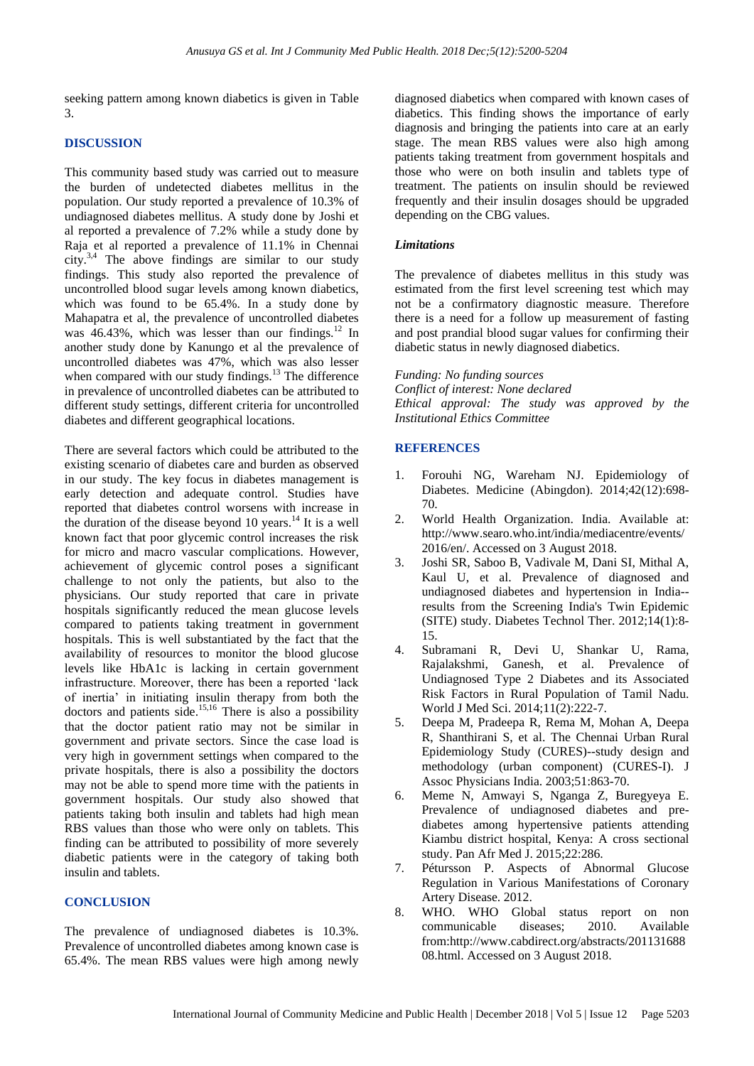seeking pattern among known diabetics is given in Table 3.

# **DISCUSSION**

This community based study was carried out to measure the burden of undetected diabetes mellitus in the population. Our study reported a prevalence of 10.3% of undiagnosed diabetes mellitus. A study done by Joshi et al reported a prevalence of 7.2% while a study done by Raja et al reported a prevalence of 11.1% in Chennai city.<sup>3,4</sup> The above findings are similar to our study findings. This study also reported the prevalence of uncontrolled blood sugar levels among known diabetics, which was found to be 65.4%. In a study done by Mahapatra et al, the prevalence of uncontrolled diabetes was  $46.43\%$ , which was lesser than our findings.<sup>12</sup> In another study done by Kanungo et al the prevalence of uncontrolled diabetes was 47%, which was also lesser when compared with our study findings.<sup>13</sup> The difference in prevalence of uncontrolled diabetes can be attributed to different study settings, different criteria for uncontrolled diabetes and different geographical locations.

There are several factors which could be attributed to the existing scenario of diabetes care and burden as observed in our study. The key focus in diabetes management is early detection and adequate control. Studies have reported that diabetes control worsens with increase in the duration of the disease beyond 10 years.<sup>14</sup> It is a well known fact that poor glycemic control increases the risk for micro and macro vascular complications. However, achievement of glycemic control poses a significant challenge to not only the patients, but also to the physicians. Our study reported that care in private hospitals significantly reduced the mean glucose levels compared to patients taking treatment in government hospitals. This is well substantiated by the fact that the availability of resources to monitor the blood glucose levels like HbA1c is lacking in certain government infrastructure. Moreover, there has been a reported 'lack of inertia' in initiating insulin therapy from both the doctors and patients side. 15,16 There is also a possibility that the doctor patient ratio may not be similar in government and private sectors. Since the case load is very high in government settings when compared to the private hospitals, there is also a possibility the doctors may not be able to spend more time with the patients in government hospitals. Our study also showed that patients taking both insulin and tablets had high mean RBS values than those who were only on tablets. This finding can be attributed to possibility of more severely diabetic patients were in the category of taking both insulin and tablets.

## **CONCLUSION**

The prevalence of undiagnosed diabetes is 10.3%. Prevalence of uncontrolled diabetes among known case is 65.4%. The mean RBS values were high among newly diagnosed diabetics when compared with known cases of diabetics. This finding shows the importance of early diagnosis and bringing the patients into care at an early stage. The mean RBS values were also high among patients taking treatment from government hospitals and those who were on both insulin and tablets type of treatment. The patients on insulin should be reviewed frequently and their insulin dosages should be upgraded depending on the CBG values.

#### *Limitations*

The prevalence of diabetes mellitus in this study was estimated from the first level screening test which may not be a confirmatory diagnostic measure. Therefore there is a need for a follow up measurement of fasting and post prandial blood sugar values for confirming their diabetic status in newly diagnosed diabetics.

*Funding: No funding sources Conflict of interest: None declared Ethical approval: The study was approved by the Institutional Ethics Committee*

# **REFERENCES**

- 1. Forouhi NG, Wareham NJ. Epidemiology of Diabetes. Medicine (Abingdon). 2014;42(12):698- 70.
- 2. World Health Organization. India. Available at: http://www.searo.who.int/india/mediacentre/events/ 2016/en/. Accessed on 3 August 2018.
- 3. Joshi SR, Saboo B, Vadivale M, Dani SI, Mithal A, Kaul U, et al. Prevalence of diagnosed and undiagnosed diabetes and hypertension in India- results from the Screening India's Twin Epidemic (SITE) study. Diabetes Technol Ther. 2012;14(1):8- 15.
- 4. Subramani R, Devi U, Shankar U, Rama, Rajalakshmi, Ganesh, et al. Prevalence of Undiagnosed Type 2 Diabetes and its Associated Risk Factors in Rural Population of Tamil Nadu. World J Med Sci. 2014;11(2):222-7.
- 5. Deepa M, Pradeepa R, Rema M, Mohan A, Deepa R, Shanthirani S, et al. The Chennai Urban Rural Epidemiology Study (CURES)--study design and methodology (urban component) (CURES-I). J Assoc Physicians India. 2003;51:863-70.
- 6. Meme N, Amwayi S, Nganga Z, Buregyeya E. Prevalence of undiagnosed diabetes and prediabetes among hypertensive patients attending Kiambu district hospital, Kenya: A cross sectional study. Pan Afr Med J. 2015;22:286.
- 7. Pétursson P. Aspects of Abnormal Glucose Regulation in Various Manifestations of Coronary Artery Disease. 2012.
- 8. WHO. WHO Global status report on non communicable diseases; 2010. Available from:http://www.cabdirect.org/abstracts/201131688 08.html. Accessed on 3 August 2018.